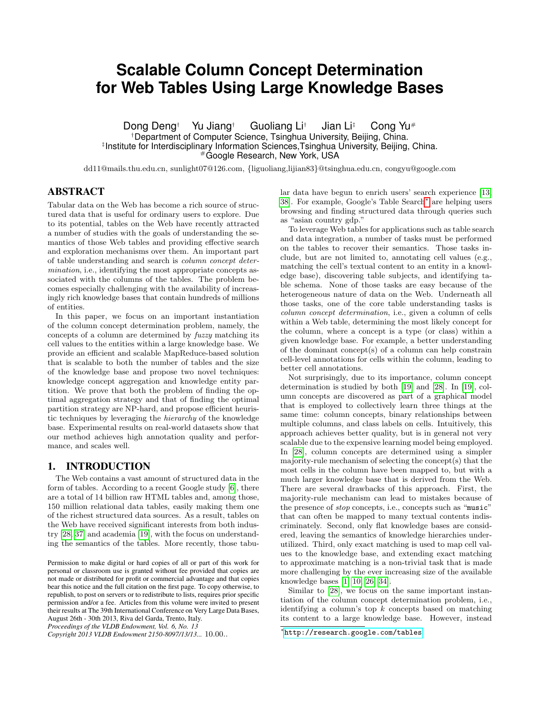# **Scalable Column Concept Determination for Web Tables Using Large Knowledge Bases**

Dong Deng† Yu Jiang† Guoliang Li† Jian Li‡ Cong Yu# †Department of Computer Science, Tsinghua University, Beijing, China. ‡ Institute for Interdisciplinary Information Sciences,Tsinghua University, Beijing, China. #Google Research, New York, USA

dd11@mails.thu.edu.cn, sunlight07@126.com, {liguoliang,lijian83}@tsinghua.edu.cn, congyu@google.com

# ABSTRACT

Tabular data on the Web has become a rich source of structured data that is useful for ordinary users to explore. Due to its potential, tables on the Web have recently attracted a number of studies with the goals of understanding the semantics of those Web tables and providing effective search and exploration mechanisms over them. An important part of table understanding and search is column concept determination, i.e., identifying the most appropriate concepts associated with the columns of the tables. The problem becomes especially challenging with the availability of increasingly rich knowledge bases that contain hundreds of millions of entities.

In this paper, we focus on an important instantiation of the column concept determination problem, namely, the concepts of a column are determined by fuzzy matching its cell values to the entities within a large knowledge base. We provide an efficient and scalable MapReduce-based solution that is scalable to both the number of tables and the size of the knowledge base and propose two novel techniques: knowledge concept aggregation and knowledge entity partition. We prove that both the problem of finding the optimal aggregation strategy and that of finding the optimal partition strategy are NP-hard, and propose efficient heuristic techniques by leveraging the hierarchy of the knowledge base. Experimental results on real-world datasets show that our method achieves high annotation quality and performance, and scales well.

# 1. INTRODUCTION

The Web contains a vast amount of structured data in the form of tables. According to a recent Google study [\[6\]](#page-11-0), there are a total of 14 billion raw HTML tables and, among those, 150 million relational data tables, easily making them one of the richest structured data sources. As a result, tables on the Web have received significant interests from both industry [\[28,](#page-11-1) [37\]](#page-11-2) and academia [\[19\]](#page-11-3), with the focus on understanding the semantics of the tables. More recently, those tabular data have begun to enrich users' search experience [\[13,](#page-11-4) [38\]](#page-11-5). For example, Google's Table Search[∗](#page-0-0) are helping users browsing and finding structured data through queries such as "asian country gdp."

To leverage Web tables for applications such as table search and data integration, a number of tasks must be performed on the tables to recover their semantics. Those tasks include, but are not limited to, annotating cell values (e.g., matching the cell's textual content to an entity in a knowledge base), discovering table subjects, and identifying table schema. None of those tasks are easy because of the heterogeneous nature of data on the Web. Underneath all those tasks, one of the core table understanding tasks is column concept determination, i.e., given a column of cells within a Web table, determining the most likely concept for the column, where a concept is a type (or class) within a given knowledge base. For example, a better understanding of the dominant concept(s) of a column can help constrain cell-level annotations for cells within the column, leading to better cell annotations.

Not surprisingly, due to its importance, column concept determination is studied by both [\[19\]](#page-11-3) and [\[28\]](#page-11-1). In [\[19\]](#page-11-3), column concepts are discovered as part of a graphical model that is employed to collectively learn three things at the same time: column concepts, binary relationships between multiple columns, and class labels on cells. Intuitively, this approach achieves better quality, but is in general not very scalable due to the expensive learning model being employed. In [\[28\]](#page-11-1), column concepts are determined using a simpler majority-rule mechanism of selecting the concept(s) that the most cells in the column have been mapped to, but with a much larger knowledge base that is derived from the Web. There are several drawbacks of this approach. First, the majority-rule mechanism can lead to mistakes because of the presence of stop concepts, i.e., concepts such as "music" that can often be mapped to many textual contents indiscriminately. Second, only flat knowledge bases are considered, leaving the semantics of knowledge hierarchies underutilized. Third, only exact matching is used to map cell values to the knowledge base, and extending exact matching to approximate matching is a non-trivial task that is made more challenging by the ever increasing size of the available knowledge bases [\[1,](#page-11-6) [10,](#page-11-7) [26,](#page-11-8) [34\]](#page-11-9).

Similar to [\[28\]](#page-11-1), we focus on the same important instantiation of the column concept determination problem, i.e., identifying a column's top  $k$  concepts based on matching its content to a large knowledge base. However, instead

Permission to make digital or hard copies of all or part of this work for personal or classroom use is granted without fee provided that copies are not made or distributed for profit or commercial advantage and that copies bear this notice and the full citation on the first page. To copy otherwise, to republish, to post on servers or to redistribute to lists, requires prior specific permission and/or a fee. Articles from this volume were invited to present their results at The 39th International Conference on Very Large Data Bases, August 26th - 30th 2013, Riva del Garda, Trento, Italy.

*Proceedings of the VLDB Endowment, Vol. 6, No. 13*

*Copyright 2013 VLDB Endowment 2150-8097/13/13...* 10.00..

<span id="page-0-0"></span><sup>∗</sup> <http://research.google.com/tables>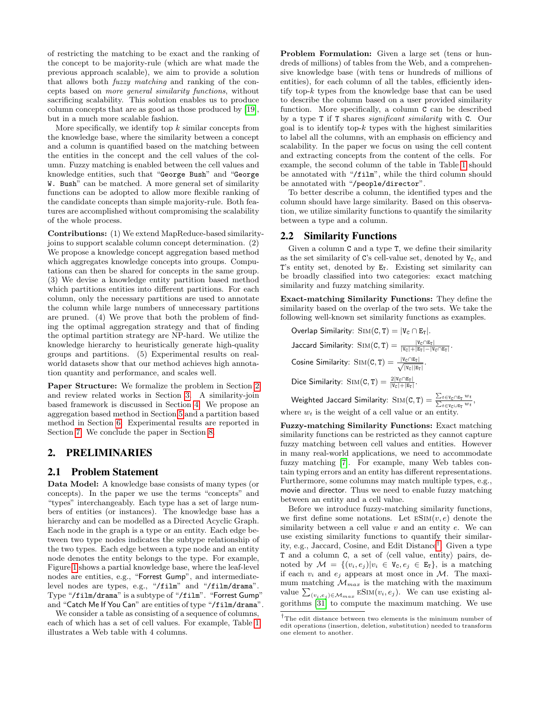of restricting the matching to be exact and the ranking of the concept to be majority-rule (which are what made the previous approach scalable), we aim to provide a solution that allows both fuzzy matching and ranking of the concepts based on more general similarity functions, without sacrificing scalability. This solution enables us to produce column concepts that are as good as those produced by [\[19\]](#page-11-3), but in a much more scalable fashion.

More specifically, we identify top  $k$  similar concepts from the knowledge base, where the similarity between a concept and a column is quantified based on the matching between the entities in the concept and the cell values of the column. Fuzzy matching is enabled between the cell values and knowledge entities, such that "George Bush" and "George W. Bush" can be matched. A more general set of similarity functions can be adopted to allow more flexible ranking of the candidate concepts than simple majority-rule. Both features are accomplished without compromising the scalability of the whole process.

Contributions: (1) We extend MapReduce-based similarityjoins to support scalable column concept determination. (2) We propose a knowledge concept aggregation based method which aggregates knowledge concepts into groups. Computations can then be shared for concepts in the same group. (3) We devise a knowledge entity partition based method which partitions entities into different partitions. For each column, only the necessary partitions are used to annotate the column while large numbers of unnecessary partitions are pruned. (4) We prove that both the problem of finding the optimal aggregation strategy and that of finding the optimal partition strategy are NP-hard. We utilize the knowledge hierarchy to heuristically generate high-quality groups and partitions. (5) Experimental results on realworld datasets show that our method achieves high annotation quantity and performance, and scales well.

Paper Structure: We formalize the problem in Section [2](#page-1-0) and review related works in Section [3.](#page-2-0) A similarity-join based framework is discussed in Section [4.](#page-3-0) We propose an aggregation based method in Section [5](#page-4-0) and a partition based method in Section [6.](#page-7-0) Experimental results are reported in Section [7.](#page-9-0) We conclude the paper in Section [8.](#page-11-10)

# <span id="page-1-0"></span>2. PRELIMINARIES

# 2.1 Problem Statement

Data Model: A knowledge base consists of many types (or concepts). In the paper we use the terms "concepts" and "types" interchangeably. Each type has a set of large numbers of entities (or instances). The knowledge base has a hierarchy and can be modelled as a Directed Acyclic Graph. Each node in the graph is a type or an entity. Each edge between two type nodes indicates the subtype relationship of the two types. Each edge between a type node and an entity node denotes the entity belongs to the type. For example, Figure [1](#page-2-1) shows a partial knowledge base, where the leaf-level nodes are entities, e.g., "Forrest Gump", and intermediatelevel nodes are types, e.g., "/film" and "/film/drama". Type "/film/drama" is a subtype of "/film". "Forrest Gump" and "Catch Me If You Can" are entities of type "/film/drama".

We consider a table as consisting of a sequence of columns, each of which has a set of cell values. For example, Table [1](#page-2-2) illustrates a Web table with 4 columns.

Problem Formulation: Given a large set (tens or hundreds of millions) of tables from the Web, and a comprehensive knowledge base (with tens or hundreds of millions of entities), for each column of all the tables, efficiently identify top-k types from the knowledge base that can be used to describe the column based on a user provided similarity function. More specifically, a column C can be described by a type T if T shares significant similarity with C. Our goal is to identify top- $k$  types with the highest similarities to label all the columns, with an emphasis on efficiency and scalability. In the paper we focus on using the cell content and extracting concepts from the content of the cells. For example, the second column of the table in Table [1](#page-2-2) should be annotated with "/film", while the third column should be annotated with "/people/director".

To better describe a column, the identified types and the column should have large similarity. Based on this observation, we utilize similarity functions to quantify the similarity between a type and a column.

# 2.2 Similarity Functions

Given a column C and a type T, we define their similarity as the set similarity of  $C$ 's cell-value set, denoted by  $V_c$ , and T's entity set, denoted by E<sub>T</sub>. Existing set similarity can be broadly classified into two categories: exact matching similarity and fuzzy matching similarity.

Exact-matching Similarity Functions: They define the similarity based on the overlap of the two sets. We take the following well-known set similarity functions as examples.

Overlap Similarity:  $\text{Sim}(C, T) = |V_C \cap E_T|$ . Jaccard Similarity:  $\text{Sim}(C, T) = \frac{|v_C \cap E_T|}{|v_C| + |E_T| - |v_C \cap E_T|}$ . Cosine Similarity:  $\text{Sim}(C, T) = \frac{|V_C \cap E_T|}{\sqrt{|V_C|} |V_T|}$  $\frac{|C| |E_T|}{|V_C| |E_T|}$ . Dice Similarity:  $\text{Sim}(C, T) = \frac{2|V_C \cap E_T|}{|V_C| + |E_T|}$ .

Weighted Jaccard Similarity:  $\text{Sim}(\texttt{C}, \texttt{T}) = \frac{\sum_{t \in \texttt{V_C} \cap \texttt{E_T}} w_t}{\sum_{t \in \texttt{V_C} \cap \texttt{E_T}} w_t}$  $\frac{\sum_{t \in V_C \cap E_T} w_t}{\sum_{t \in V_C \cup E_T} w_t},$ where  $w_t$  is the weight of a cell value or an entity.

Fuzzy-matching Similarity Functions: Exact matching similarity functions can be restricted as they cannot capture fuzzy matching between cell values and entities. However in many real-world applications, we need to accommodate fuzzy matching [\[7\]](#page-11-11). For example, many Web tables contain typing errors and an entity has different representations. Furthermore, some columns may match multiple types, e.g., movie and director. Thus we need to enable fuzzy matching between an entity and a cell value.

Before we introduce fuzzy-matching similarity functions, we first define some notations. Let  $ESIM(v, e)$  denote the similarity between a cell value  $v$  and an entity  $e$ . We can use existing similarity functions to quantify their similarity, e.g., Jaccard, Cosine, and Edit Distance[†](#page-1-1) . Given a type  $T$  and a column  $C$ , a set of  $\langle$  cell value, entity $\rangle$  pairs, denoted by  $\mathcal{M} = \{(v_i, e_j)|v_i \in V_c, e_j \in E_T\}$ , is a matching if each  $v_i$  and  $e_j$  appears at most once in M. The maximum matching  $\mathcal{M}_{max}$  is the matching with the maximum value  $\sum_{(v_i,e_j)\in\mathcal{M}_{max}}\text{ESIM}(v_i,e_j)$ . We can use existing algorithms [\[31\]](#page-11-12) to compute the maximum matching. We use

<span id="page-1-1"></span> $^\dagger\!$  The edit distance between two elements is the minimum number of edit operations (insertion, deletion, substitution) needed to transform one element to another.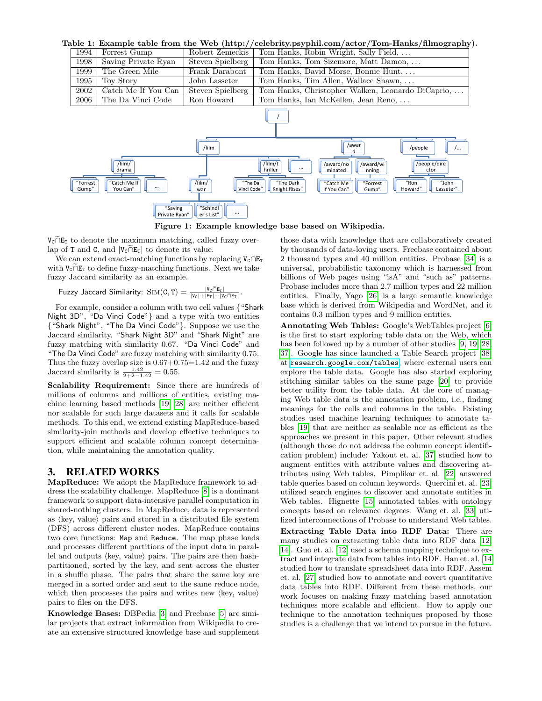<span id="page-2-2"></span>



<span id="page-2-1"></span>Figure 1: Example knowledge base based on Wikipedia.

 $V_c$  $E_T$  to denote the maximum matching, called fuzzy overlap of T and C, and  $|V_c \cap E_T|$  to denote its value.

We can extend exact-matching functions by replacing  $V_c \cap E_T$ with  $V_c$  $\cap$ E<sub>T</sub> to define fuzzy-matching functions. Next we take fuzzy Jaccard similarity as an example.

Fuzzy Jaccard Similarity:  $\text{Sim}(C, T) = \frac{|v_C \cap E_T|}{|v_C| + |E_T| - |v_C \cap E_T|}$ .

For example, consider a column with two cell values {"Shark Night 3D", "Da Vinci Code"} and a type with two entities {"Shark Night", "The Da Vinci Code"}. Suppose we use the Jaccard similarity. "Shark Night 3D" and "Shark Night" are fuzzy matching with similarity 0.67. "Da Vinci Code" and "The Da Vinci Code" are fuzzy matching with similarity 0.75. Thus the fuzzy overlap size is  $0.67+0.75=1.42$  and the fuzzy Jaccard similarity is  $\frac{1.42}{2+2-1.42} = 0.55$ .

Scalability Requirement: Since there are hundreds of millions of columns and millions of entities, existing machine learning based methods [\[19,](#page-11-3) [28\]](#page-11-1) are neither efficient nor scalable for such large datasets and it calls for scalable methods. To this end, we extend existing MapReduce-based similarity-join methods and develop effective techniques to support efficient and scalable column concept determination, while maintaining the annotation quality.

# <span id="page-2-0"></span>3. RELATED WORKS

MapReduce: We adopt the MapReduce framework to address the scalability challenge. MapReduce [\[8\]](#page-11-13) is a dominant framework to support data-intensive parallel computation in shared-nothing clusters. In MapReduce, data is represented as  $\langle \text{key}, \text{value} \rangle$  pairs and stored in a distributed file system (DFS) across different cluster nodes. MapReduce contains two core functions: Map and Reduce. The map phase loads and processes different partitions of the input data in parallel and outputs  $\langle \text{key}, \text{value} \rangle$  pairs. The pairs are then hashpartitioned, sorted by the key, and sent across the cluster in a shuffle phase. The pairs that share the same key are merged in a sorted order and sent to the same reduce node, which then processes the pairs and writes new  $\langle \text{key}, \text{value} \rangle$ pairs to files on the DFS.

Knowledge Bases: DBPedia [\[3\]](#page-11-14) and Freebase [\[5\]](#page-11-15) are similar projects that extract information from Wikipedia to create an extensive structured knowledge base and supplement those data with knowledge that are collaboratively created by thousands of data-loving users. Freebase contained about 2 thousand types and 40 million entities. Probase [\[34\]](#page-11-9) is a universal, probabilistic taxonomy which is harnessed from billions of Web pages using "isA" and "such as" patterns. Probase includes more than 2.7 million types and 22 million entities. Finally, Yago [\[26\]](#page-11-8) is a large semantic knowledge base which is derived from Wikipedia and WordNet, and it contains 0.3 million types and 9 million entities.

Annotating Web Tables: Google's WebTables project [\[6\]](#page-11-0) is the first to start exploring table data on the Web, which has been followed up by a number of other studies [\[9,](#page-11-16) [19,](#page-11-3) [28,](#page-11-1) [37\]](#page-11-2). Google has since launched a Table Search project [\[38\]](#page-11-5) at <research.google.com/tables>, where external users can explore the table data. Google has also started exploring stitching similar tables on the same page [\[20\]](#page-11-17) to provide better utility from the table data. At the core of managing Web table data is the annotation problem, i.e., finding meanings for the cells and columns in the table. Existing studies used machine learning techniques to annotate tables [\[19\]](#page-11-3) that are neither as scalable nor as efficient as the approaches we present in this paper. Other relevant studies (although those do not address the column concept identification problem) include: Yakout et. al. [\[37\]](#page-11-2) studied how to augment entities with attribute values and discovering attributes using Web tables. Pimplikar et. al. [\[22\]](#page-11-18) answered table queries based on column keywords. Quercini et. al. [\[23\]](#page-11-19) utilized search engines to discover and annotate entities in Web tables. Hignette [\[15\]](#page-11-20) annotated tables with ontology concepts based on relevance degrees. Wang et. al. [\[33\]](#page-11-21) utilized interconnections of Probase to understand Web tables. Extracting Table Data into RDF Data: There are many studies on extracting table data into RDF data [\[12,](#page-11-22) [14\]](#page-11-23). Guo et. al. [\[12\]](#page-11-22) used a schema mapping technique to extract and integrate data from tables into RDF. Han et. al. [\[14\]](#page-11-23) studied how to translate spreadsheet data into RDF. Assem et. al. [\[27\]](#page-11-24) studied how to annotate and covert quantitative data tables into RDF. Different from these methods, our work focuses on making fuzzy matching based annotation techniques more scalable and efficient. How to apply our

technique to the annotation techniques proposed by those studies is a challenge that we intend to pursue in the future.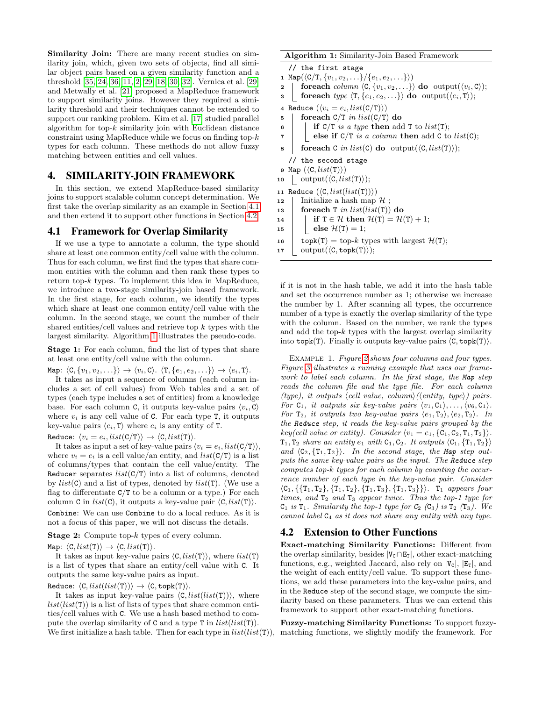Similarity Join: There are many recent studies on similarity join, which, given two sets of objects, find all similar object pairs based on a given similarity function and a threshold [\[35,](#page-11-25) [24,](#page-11-26) [36,](#page-11-27) [11,](#page-11-28) [2,](#page-11-29) [29,](#page-11-30) [18,](#page-11-31) [30,](#page-11-32) [32\]](#page-11-33). Vernica et al. [\[29\]](#page-11-30) and Metwally et al. [\[21\]](#page-11-34) proposed a MapReduce framework to support similarity joins. However they required a similarity threshold and their techniques cannot be extended to support our ranking problem. Kim et al. [\[17\]](#page-11-35) studied parallel algorithm for top- $k$  similarity join with Euclidean distance constraint using MapReduce while we focus on finding top- $k$ types for each column. These methods do not allow fuzzy matching between entities and cell values.

# <span id="page-3-0"></span>4. SIMILARITY-JOIN FRAMEWORK

In this section, we extend MapReduce-based similarity joins to support scalable column concept determination. We first take the overlap similarity as an example in Section [4.1](#page-3-1) and then extend it to support other functions in Section [4.2.](#page-3-2)

#### <span id="page-3-1"></span>4.1 Framework for Overlap Similarity

If we use a type to annotate a column, the type should share at least one common entity/cell value with the column. Thus for each column, we first find the types that share common entities with the column and then rank these types to return top-k types. To implement this idea in MapReduce, we introduce a two-stage similarity-join based framework. In the first stage, for each column, we identify the types which share at least one common entity/cell value with the column. In the second stage, we count the number of their shared entities/cell values and retrieve top  $k$  types with the largest similarity. Algorithm [1](#page-3-3) illustrates the pseudo-code.

Stage 1: For each column, find the list of types that share at least one entity/cell value with the column.

Map:  $\langle C, \{v_1, v_2, \ldots\}\rangle \rightarrow \langle v_i, C \rangle$ .  $\langle T, \{e_1, e_2, \ldots\}\rangle \rightarrow \langle e_i, T \rangle$ .

It takes as input a sequence of columns (each column includes a set of cell values) from Web tables and a set of types (each type includes a set of entities) from a knowledge base. For each column C, it outputs key-value pairs  $\langle v_i, \mathbf{C} \rangle$ where  $v_i$  is any cell value of C. For each type T, it outputs key-value pairs  $\langle e_i, \mathbf{T} \rangle$  where  $e_i$  is any entity of T.

Reduce:  $\langle v_i = e_i, list(C/T) \rangle \rightarrow \langle C, list(T) \rangle$ .

It takes as input a set of key-value pairs  $\langle v_i = e_i, list(C/T) \rangle$ , where  $v_i = e_i$  is a cell value/an entity, and  $list(C/T)$  is a list of columns/types that contain the cell value/entity. The Reducer separates  $list(C/T)$  into a list of columns, denoted by  $list(\mathcal{C})$  and a list of types, denoted by  $list(\mathcal{T})$ . (We use a flag to differentiate  $C/T$  to be a column or a type.) For each column C in *list*(C), it outputs a key-value pair  $\langle C, list(T) \rangle$ . Combine: We can use Combine to do a local reduce. As it is not a focus of this paper, we will not discuss the details.

Stage 2: Compute top-k types of every column.

Map:  $\langle C, list(T) \rangle \rightarrow \langle C, list(T) \rangle$ .

It takes as input key-value pairs  $\langle C, list(T) \rangle$ , where  $list(T)$ is a list of types that share an entity/cell value with C. It outputs the same key-value pairs as input.

Reduce:  $\langle C, list(list(T)) \rangle \rightarrow \langle C, topk(T) \rangle.$ 

It takes as input key-value pairs  $\langle C, list(list(T)) \rangle$ , where  $list(list(\texttt{T}))$  is a list of lists of types that share common entities/cell values with C. We use a hash based method to compute the overlap similarity of C and a type T in  $list(list(T))$ . We first initialize a hash table. Then for each type in  $list(list(\texttt{T})),$ 

#### Algorithm 1: Similarity-Join Based Framework

```
// the first stage
```
- 1 Map $(\langle C/T, \{v_1, v_2, \ldots\} / \{e_1, e_2, \ldots\})$ )
- 2 foreach *column*  $\langle C, \{v_1, v_2, \ldots\}\rangle$  do output $(\langle v_i, C \rangle);$
- 3 foreach type  $\langle T, \{e_1, e_2, \ldots\}\rangle$  do output $(\langle e_i, T \rangle);$
- 4 Reduce  $(\langle v_i = e_i, list(C/T) \rangle)$
- 5 foreach  $C/T$  in list( $C/T$ ) do
- 6 if  $C/T$  is a type then add T to list(T);
- $\tau$  | else if C/T is a column then add C to list(C);
- **8 foreach** C in list(C) **do** output( $\langle C, list(T) \rangle$ );

```
// the second stage
```
9 Map  $(\langle C, list(T) \rangle)$ 

10 | output( $\langle \texttt{C}, list(\texttt{T}) \rangle$ );

```
11 Reduce (\langle C, list(list(T)) \rangle)
```
12 | Initialize a hash map  $\mathcal{H}$ ;

- 13 foreach T in  $list(list(T))$  do
- 14 | if T  $\in \mathcal{H}$  then  $\mathcal{H}(T) = \mathcal{H}(T) + 1;$
- 15 **else**  $\mathcal{H}(T) = 1$ ;
- 16 topk(T) = top-k types with largest  $\mathcal{H}(T)$ ;
- <span id="page-3-3"></span>17 |  $output(\langle C, \text{topk}(T) \rangle);$

if it is not in the hash table, we add it into the hash table and set the occurrence number as 1; otherwise we increase the number by 1. After scanning all types, the occurrence number of a type is exactly the overlap similarity of the type with the column. Based on the number, we rank the types and add the top- $k$  types with the largest overlap similarity into topk(T). Finally it outputs key-value pairs  $\langle C, \text{topk}(T) \rangle$ .

EXAMPLE 1. Figure [2](#page-4-1) shows four columns and four types. Figure [3](#page-4-2) illustrates a running example that uses our framework to label each column. In the first stage, the Map step reads the column file and the type file. For each column (type), it outputs  $\langle cell value, column \rangle (\langle entity, type \rangle)$  pairs. For  $C_1$ , it outputs six key-value pairs  $\langle v_1, C_1 \rangle, \ldots, \langle v_6, C_1 \rangle$ . For  $T_2$ , it outputs two key-value pairs  $\langle e_1, T_2 \rangle, \langle e_2, T_2 \rangle$ . In the Reduce step, it reads the key-value pairs grouped by the key(cell value or entity). Consider  $\langle v_1 = e_1, \{C_1, C_2, T_1, T_2\}\rangle$ .  $T_1, T_2$  share an entity  $e_1$  with  $C_1, C_2$ . It outputs  $\langle C_1, \{T_1, T_2\}\rangle$ and  $\langle C_2, \{T_1, T_2\}\rangle$ . In the second stage, the Map step outputs the same key-value pairs as the input. The Reduce step computes top-k types for each column by counting the occurrence number of each type in the key-value pair. Consider  $\langle C_1, \{\{T_1, T_2\}, \{T_1, T_2\}, \{T_1, T_3\}, \{T_1, T_3\}\}\rangle$ . T<sub>1</sub> appears four times, and  $T_2$  and  $T_3$  appear twice. Thus the top-1 type for  $C_1$  is  $T_1$ . Similarity the top-1 type for  $C_2$   $(C_3)$  is  $T_2$   $(T_3)$ . We cannot label  $C_4$  as it does not share any entity with any type.

# <span id="page-3-2"></span>4.2 Extension to Other Functions

Exact-matching Similarity Functions: Different from the overlap similarity, besides  $|V_c \cap E_T|$ , other exact-matching functions, e.g., weighted Jaccard, also rely on  $|V_c|$ ,  $|E_T|$ , and the weight of each entity/cell value. To support these functions, we add these parameters into the key-value pairs, and in the Reduce step of the second stage, we compute the similarity based on these parameters. Thus we can extend this framework to support other exact-matching functions.

Fuzzy-matching Similarity Functions: To support fuzzymatching functions, we slightly modify the framework. For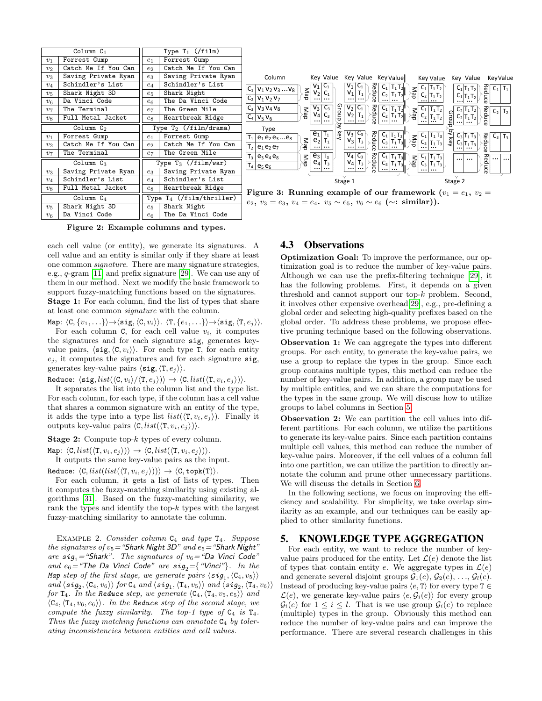| Column $C_1$          |                     | Type $T_1$ (/film)          |                        |                                                                                                                                                                                         |  |  |
|-----------------------|---------------------|-----------------------------|------------------------|-----------------------------------------------------------------------------------------------------------------------------------------------------------------------------------------|--|--|
| $v_1$                 | Forrest Gump        | e <sub>1</sub>              | Forrest Gump           |                                                                                                                                                                                         |  |  |
| $v_2$                 | Catch Me If You Can | e <sub>2</sub>              | Catch Me If You Can    |                                                                                                                                                                                         |  |  |
| $v_3$                 | Saving Private Ryan | $e_3$                       | Saving Private Ryan    | Column<br>Key Value Key Value<br>Key Value<br>Key Valı                                                                                                                                  |  |  |
| $v_4$                 | Schindler's List    | $e_4$                       | Schindler's List       | $V_1 C_1$<br>$V_1$ $C_1$ $\cap$<br>$C_1   T_1 T_2  $<br>$C_1   T_1 T$                                                                                                                   |  |  |
| $v_5$                 | Shark Night 3D      | $e_5$                       | Shark Night            | Reduce<br><b>Nap</b><br>$C_1$   $V_1$ $V_2$ $V_3$ $V_8$<br><b>Nap</b><br>$V_1$<br>$T_1$<br>$ C_1 $<br>V <sub>2</sub><br>$C_2  T_1T_2 $<br>$C_2   T_1 T$                                 |  |  |
| $v_6$                 | Da Vinci Code       | e <sub>6</sub>              | The Da Vinci Code      | $C_{2}$<br>$V_1 V_2 V_7$<br>$\cdots$<br> <br>$\ddotsc$<br>$\cdots$<br>$\cdots$<br>$\cdots$<br>                                                                                          |  |  |
| $v_7$                 | The Terminal        | $e_7$                       | The Green Mile         | Redu<br>$V_2 C_1 $<br>$C_3$<br>$C_3$<br>$C_1  T_1T_2 $<br>$V_3 V_4 V_8$<br>$V_3$<br>$C_1$ $T_1$ T<br>viak<br>$\overline{\mathbb{R}}$                                                    |  |  |
| $v_8$                 | Full Metal Jacket   | $e_8$                       | Heartbreak Ridge       | Group,<br>$V_2 T_1 $<br>$V_4$ $C_3$<br>$C_2  T_1T_2 $<br>$C_2$ $T_1$ T<br>$C_4$ $V_5V_6$<br>$\cdots$ $\cdots$<br>$\cdots$<br>$\cdots$<br>                                               |  |  |
| Column C <sub>2</sub> |                     | Type $T_2$ (/film/drama)    |                        | ्र<br>Type                                                                                                                                                                              |  |  |
| $v_1$                 | Forrest Gump        | e <sub>1</sub>              | Forrest Gump           | key<br>$e_1 T_1$<br>$V_3 C_3 $<br>Reduce<br>$C_1$ $T_1$ T<br>$C_1$ $ T_1T_3 $<br>통)<br>명<br>$T_1$   $e_1e_2e_3e_8$<br>$V_3$ $T_3$<br>e <sub>2</sub><br>Σ<br>$T_1$                       |  |  |
| $v_2$                 | Catch Me If You Can | e <sub>2</sub>              | Catch Me If You Can    | $C_3  T_1T_3 $<br>$C_3$ $T_1$ T<br>$T_2$   $e_1 e_2 e_7$<br>ੰਦੇ<br>$\cdots$<br>$\cdots$<br>$\cdots$                                                                                     |  |  |
| $v_7$                 | The Terminal        | $e_7$                       | The Green Mile         | $\overline{e_3}$ $\overline{r_3}$<br>$V_4 C_3 $<br>$C_1$ $T_1$ $T_3$<br>$C_1   T_1 T_2$<br>$T_3$   $e_3e_4e_8$<br>ΣΙ                                                                    |  |  |
| Column C <sub>3</sub> |                     |                             | Type $T_3$ (/film/war) | Reduce<br>Mạn<br>$V_4 T_3 $<br>$ e_4 $ T <sub>3</sub><br>$C_3  T_1T_3 $<br>$\varepsilon_{\rm B}$   C $_{\rm 3}$  T $_{\rm 1}$ T<br>$\overline{T_4}$   $\overline{e}_5$ $\overline{e}_6$ |  |  |
| $v_3$                 | Saving Private Ryan | $e_3$                       | Saving Private Ryan    | $\cdots$<br>$\cdots$<br>$\cdots$<br>                                                                                                                                                    |  |  |
| $v_4$                 | Schindler's List    | $e_4$                       | Schindler's List       | Stage 1                                                                                                                                                                                 |  |  |
| $v_8$                 | Full Metal Jacket   | es                          | Heartbreak Ridge       | Figure 3: Running example of our framework                                                                                                                                              |  |  |
| Column C <sub>4</sub> |                     | Type $T_4$ (/film/thriller) |                        | $e_2, v_3 = e_3, v_4 = e_4. v_5 \sim e_5, v_6 \sim e_6 (\sim: \text{similar}).$                                                                                                         |  |  |
| $v_{5}$               | Shark Night 3D      | $e_{5}$                     | Shark Night            |                                                                                                                                                                                         |  |  |
| v <sub>6</sub>        | Da Vinci Code       | e <sub>6</sub>              | The Da Vinci Code      |                                                                                                                                                                                         |  |  |



<span id="page-4-1"></span>Figure 2: Example columns and types.

each cell value (or entity), we generate its signatures. A cell value and an entity is similar only if they share at least one common signature. There are many signature strategies, e.g., q-gram [\[11\]](#page-11-28) and prefix signature [\[29\]](#page-11-30). We can use any of them in our method. Next we modify the basic framework to support fuzzy-matching functions based on the signatures. Stage 1: For each column, find the list of types that share at least one common signature with the column.

Map:  $\langle C, \{v_1, ...\}\rangle \rightarrow \langle \text{sig}, \langle C, v_i \rangle \rangle$ .  $\langle T, \{e_1, ...\}\rangle \rightarrow \langle \text{sig}, \langle T, e_j \rangle \rangle$ . For each column  $C$ , for each cell value  $v_i$ , it computes the signatures and for each signature sig, generates keyvalue pairs,  $\langle \text{sig}, \langle \text{C}, v_i \rangle \rangle$ . For each type T, for each entity  $e_j$ , it computes the signatures and for each signature sig, generates key-value pairs  $\langle \text{sig}, \langle \text{T}, e_j \rangle \rangle$ .

Reduce:  $\langle \texttt{sig}, list(\langle C, v_i \rangle / \langle T, e_j \rangle) \rangle \rightarrow \langle C, list(\langle T, v_i, e_j \rangle) \rangle.$ 

It separates the list into the column list and the type list. For each column, for each type, if the column has a cell value that shares a common signature with an entity of the type, it adds the type into a type list  $list(\langle T, v_i, e_j \rangle)$ . Finally it outputs key-value pairs  $\langle \mathbf{C}, list(\langle \mathbf{T}, v_i, e_j \rangle) \rangle$ .

Stage 2: Compute top-k types of every column.

Map:  $\langle C, list(\langle T, v_i, e_j \rangle) \rangle \rightarrow \langle C, list(\langle T, v_i, e_j \rangle) \rangle$ .

It outputs the same key-value pairs as the input.

Reduce:  $\langle C, list(list(\langle T, v_i, e_j \rangle)) \rangle \rightarrow \langle C, \text{topk}(T) \rangle.$ 

For each column, it gets a list of lists of types. Then it computes the fuzzy-matching similarity using existing algorithms [\[31\]](#page-11-12). Based on the fuzzy-matching similarity, we rank the types and identify the top-k types with the largest fuzzy-matching similarity to annotate the column.

EXAMPLE 2. Consider column  $C_4$  and type  $T_4$ . Suppose the signatures of  $v_5$  = "Shark Night 3D" and  $e_5$  = "Shark Night" are  $sig_1$ ="Shark". The signatures of  $v_6$ ="Da Vinci Code" and  $e_6$ ="The Da Vinci Code" are  $sig_2$ ={"Vinci"}. In the Map step of the first stage, we generate pairs  $\langle$  sig<sub>1</sub>,  $\langle$ C<sub>4</sub>,  $v_5\rangle$  $\rangle$ and  $\langle sig_2, \langle C_4, v_6 \rangle \rangle$  for  $C_4$  and  $\langle sig_1, \langle T_4, v_5 \rangle \rangle$  and  $\langle sig_2, \langle T_4, v_6 \rangle \rangle$ for  $T_4$ . In the Reduce step, we generate  $\langle C_4, T_4, v_5, e_5 \rangle$  and  $\langle C_4, \langle T_4, v_6, e_6 \rangle \rangle$ . In the Reduce step of the second stage, we compute the fuzzy similarity. The top-1 type of  $C_4$  is  $T_4$ . Thus the fuzzy matching functions can annotate  $C_4$  by tolerating inconsistencies between entities and cell values.

# <span id="page-4-2"></span>4.3 Observations

Optimization Goal: To improve the performance, our optimization goal is to reduce the number of key-value pairs. Although we can use the prefix-filtering technique [\[29\]](#page-11-30), it has the following problems. First, it depends on a given threshold and cannot support our top-k problem. Second, it involves other expensive overhead[\[29\]](#page-11-30), e.g., pre-defining a global order and selecting high-quality prefixes based on the global order. To address these problems, we propose effective pruning technique based on the following observations.

Observation 1: We can aggregate the types into different groups. For each entity, to generate the key-value pairs, we use a group to replace the types in the group. Since each group contains multiple types, this method can reduce the number of key-value pairs. In addition, a group may be used by multiple entities, and we can share the computations for the types in the same group. We will discuss how to utilize groups to label columns in Section [5.](#page-4-0)

Observation 2: We can partition the cell values into different partitions. For each column, we utilize the partitions to generate its key-value pairs. Since each partition contains multiple cell values, this method can reduce the number of key-value pairs. Moreover, if the cell values of a column fall into one partition, we can utilize the partition to directly annotate the column and prune other unnecessary partitions. We will discuss the details in Section [6.](#page-7-0)

In the following sections, we focus on improving the efficiency and scalability. For simplicity, we take overlap similarity as an example, and our techniques can be easily applied to other similarity functions.

# <span id="page-4-0"></span>5. KNOWLEDGE TYPE AGGREGATION

For each entity, we want to reduce the number of keyvalue pairs produced for the entity. Let  $\mathcal{L}(e)$  denote the list of types that contain entity e. We aggregate types in  $\mathcal{L}(e)$ and generate several disjoint groups  $\mathcal{G}_1(e), \mathcal{G}_2(e), \ldots, \mathcal{G}_l(e)$ . Instead of producing key-value pairs  $\langle e, \mathsf{T} \rangle$  for every type  $\mathsf{T} \in$  $\mathcal{L}(e)$ , we generate key-value pairs  $\langle e, \mathcal{G}_i(e) \rangle$  for every group  $\mathcal{G}_i(e)$  for  $1 \leq i \leq l$ . That is we use group  $\mathcal{G}_i(e)$  to replace (multiple) types in the group. Obviously this method can reduce the number of key-value pairs and can improve the performance. There are several research challenges in this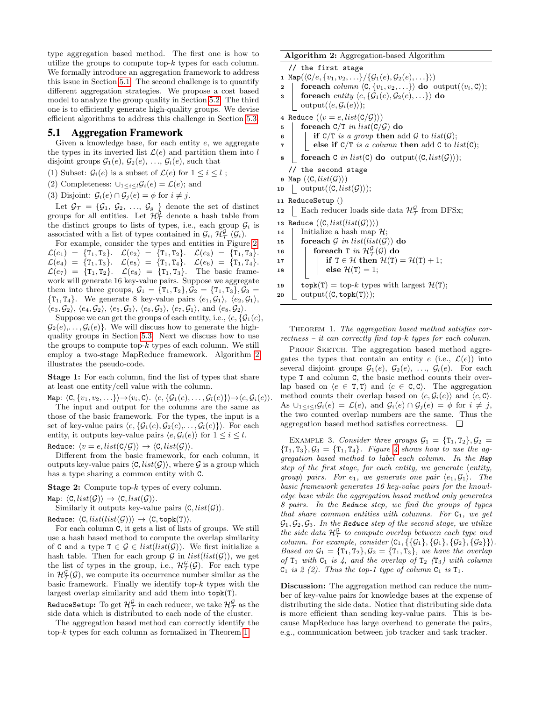type aggregation based method. The first one is how to utilize the groups to compute top- $k$  types for each column. We formally introduce an aggregation framework to address this issue in Section [5.1.](#page-5-0) The second challenge is to quantify different aggregation strategies. We propose a cost based model to analyze the group quality in Section [5.2.](#page-6-0) The third one is to efficiently generate high-quality groups. We devise efficient algorithms to address this challenge in Section [5.3.](#page-6-1)

## <span id="page-5-0"></span>5.1 Aggregation Framework

Given a knowledge base, for each entity e, we aggregate the types in its inverted list  $\mathcal{L}(e)$  and partition them into l disjoint groups  $\mathcal{G}_1(e), \mathcal{G}_2(e), \ldots, \mathcal{G}_l(e)$ , such that

- (1) Subset:  $\mathcal{G}_i(e)$  is a subset of  $\mathcal{L}(e)$  for  $1 \leq i \leq l$ ;
- (2) Completeness:  $\bigcup_{1 \leq i \leq l} \mathcal{G}_i(e) = \mathcal{L}(e)$ ; and
- (3) Disjoint:  $\mathcal{G}_i(e) \cap \mathcal{G}_j(e) = \phi$  for  $i \neq j$ .

Let  $\mathcal{G}_{\mathcal{T}} = {\mathcal{G}_1, \mathcal{G}_2, ..., \mathcal{G}_g}$  denote the set of distinct groups for all entities. Let  $\mathcal{H}_{\mathcal{T}}^{\mathcal{G}}$  denote a hash table from the distinct groups to lists of types, i.e., each group  $\mathcal{G}_i$  is associated with a list of types contained in  $\mathcal{G}_i$ ,  $\mathcal{H}^{\mathcal{G}}_{\mathcal{T}}(\mathcal{G}_i)$ .

For example, consider the types and entities in Figure [2.](#page-4-1)  $\mathcal{L}(e_1) = \{T_1, T_2\}. \quad \mathcal{L}(e_2) = \{T_1, T_2\}. \quad \mathcal{L}(e_3) = \{T_1, T_3\}.$  $\mathcal{L}(e_4) = \{T_1, T_3\}. \quad \mathcal{L}(e_5) = \{T_1, T_4\}. \quad \mathcal{L}(e_6) = \{T_1, T_4\}.$  $\mathcal{L}(e_7) = \{T_1, T_2\}. \quad \mathcal{L}(e_8) = \{T_1, T_3\}. \quad$  The basic framework will generate 16 key-value pairs. Suppose we aggregate them into three groups,  $G_1 = {\{T_1, T_2\}}, G_2 = {\{T_1, T_3\}}, G_3 =$  $\{\mathsf{T}_1, \mathsf{T}_4\}.$  We generate 8 key-value pairs  $\langle e_1, \mathcal{G}_1 \rangle, \langle e_2, \mathcal{G}_1 \rangle,$  $\langle e_3, \mathcal{G}_2 \rangle$ ,  $\langle e_4, \mathcal{G}_2 \rangle$ ,  $\langle e_5, \mathcal{G}_3 \rangle$ ,  $\langle e_6, \mathcal{G}_3 \rangle$ ,  $\langle e_7, \mathcal{G}_1 \rangle$ , and  $\langle e_8, \mathcal{G}_2 \rangle$ .

Suppose we can get the groups of each entity, i.e.,  $\langle e, \{G_1(e),\} \rangle$  $\mathcal{G}_2(e), \ldots, \mathcal{G}_l(e)$ . We will discuss how to generate the highquality groups in Section [5.3.](#page-6-1) Next we discuss how to use the groups to compute top- $k$  types of each column. We still employ a two-stage MapReduce framework. Algorithm [2](#page-5-1) illustrates the pseudo-code.

Stage 1: For each column, find the list of types that share at least one entity/cell value with the column.

Map: 
$$
\langle C, \{v_1, v_2, ...\}\rangle \rightarrow \langle v_i, C \rangle
$$
.  $\langle e, \{G_1(e), ..., G_l(e)\}\rangle \rightarrow \langle e, G_i(e) \rangle$   
The input and output for the columns are the same as

those of the basic framework. For the types, the input is a set of key-value pairs  $\langle e, {\mathcal{G}_1}(e), {\mathcal{G}_2}(e), \ldots, {\mathcal{G}_l}(e) \rangle$ . For each entity, it outputs key-value pairs  $\langle e, \mathcal{G}_i(e) \rangle$  for  $1 \leq i \leq l$ . Reduce:  $\langle v = e, list(C/G) \rangle \rightarrow \langle C, list(G) \rangle$ .

Different from the basic framework, for each column, it

outputs key-value pairs  $\langle \mathbf{C}, list(\mathcal{G}) \rangle$ , where G is a group which has a type sharing a common entity with C.

Stage 2: Compute top-k types of every column.

Map:  $\langle C, list(\mathcal{G}) \rangle \rightarrow \langle C, list(\mathcal{G}) \rangle.$ 

Similarly it outputs key-value pairs  $\langle \mathsf{C}, list(\mathcal{G}) \rangle$ .

Reduce:  $\langle C, list(list(\mathcal{G})) \rangle \rightarrow \langle C, \text{topk}(T) \rangle.$ 

For each column C, it gets a list of lists of groups. We still use a hash based method to compute the overlap similarity of C and a type  $T \in \mathcal{G} \in list(list(\mathcal{G}))$ . We first initialize a hash table. Then for each group  $G$  in  $list(list(G))$ , we get the list of types in the group, i.e.,  $\mathcal{H}_{\mathcal{T}}^{\mathcal{G}}(\mathcal{G})$ . For each type in  $\mathcal{H}^{\mathcal{G}}_{\mathcal{T}}(\mathcal{G})$ , we compute its occurrence number similar as the basic framework. Finally we identify top- $k$  types with the largest overlap similarity and add them into topk(T).

ReduceSetup: To get  $\mathcal{H}_{\mathcal{T}}^{\mathcal{G}}$  in each reducer, we take  $\mathcal{H}_{\mathcal{T}}^{\mathcal{G}}$  as the side data which is distributed to each node of the cluster.

<span id="page-5-2"></span>The aggregation based method can correctly identify the top-k types for each column as formalized in Theorem [1.](#page-5-2)

#### Algorithm 2: Aggregation-based Algorithm

// the first stage

1 Map $({\cal C}/e, \{v_1, v_2, \ldots\}/\{{\cal G}_1(e), {\cal G}_2(e), \ldots\})$ 

- 2 foreach column  $\langle C, \{v_1, v_2, ...\} \rangle$  do output $(\langle v_i, C \rangle);$
- 3 foreach entity  $\langle e, \{ \mathcal{G}_1(e), \mathcal{G}_2(e), \ldots \} \rangle$  do output( $\langle e, \mathcal{G}_i(e) \rangle$ );

4 Reduce  $(\langle v = e, list(C/G) \rangle)$ 

- 5 foreach  $C/T$  in list( $C/G$ ) do
- 6 if  $C/T$  is a group then add G to list(G);
- 7 else if  $C/T$  is a column then add C to list(C);
- **8 foreach** C in list(C) **do** output( $\langle C, list(\mathcal{G}) \rangle$ );
	- // the second stage

```
9 Map (\langle \text{C}, list(\mathcal{G}) \rangle)
```
10 | output( $\langle \texttt{C}, list(\mathcal{G}) \rangle$ );

<sup>11</sup> ReduceSetup ()

- 12 Each reducer loads side data  $\mathcal{H}_{\mathcal{T}}^{\mathcal{G}}$  from DFSx;
- 13 Reduce  $(\langle C, list(list(G)) \rangle)$
- 14 | Initialize a hash map  $\mathcal{H}$ ;
- 15 foreach  $\mathcal G$  in list(list( $\mathcal G$ )) do
- 16  $\parallel$  for each T in  $\mathcal{H}^{\mathcal{G}}_{\mathcal{T}}(\mathcal{G})$  do
- 17 | | if T  $\in \mathcal{H}$  then  $\mathcal{H}(T) = \mathcal{H}(T) + 1$ ;

$$
\text{ is } \quad \boxed{\phantom{a}} \quad \boxed{\phantom{a}} \quad \text{else } \mathcal{H}(\texttt{T}) = 1;
$$

19 topk(T) = top-k types with largest  $\mathcal{H}(T)$ ;

```
20 | output(\langle C, \text{topk}(T) \rangle);
```
THEOREM 1. The aggregation based method satisfies correctness – it can correctly find top-k types for each column.

PROOF SKETCH. The aggregation based method aggregates the types that contain an entity e (i.e.,  $\mathcal{L}(e)$ ) into several disjoint groups  $\mathcal{G}_1(e), \mathcal{G}_2(e), \ldots, \mathcal{G}_l(e)$ . For each type T and column C, the basic method counts their overlap based on  $\langle e \in \texttt{T}, \texttt{T} \rangle$  and  $\langle c \in \texttt{C}, \texttt{C} \rangle$ . The aggregation method counts their overlap based on  $\langle e, \mathcal{G}_i(e) \rangle$  and  $\langle c, \mathbf{C} \rangle$ . As  $\bigcup_{1 \leq i \leq l} \mathcal{G}_i(e) = \mathcal{L}(e)$ , and  $\mathcal{G}_i(e) \cap \mathcal{G}_j(e) = \phi$  for  $i \neq j$ , the two counted overlap numbers are the same. Thus the aggregation based method satisfies correctness.  $\Box$ 

EXAMPLE 3. Consider three groups  $\mathcal{G}_1 = {\{\texttt{T}_1,\texttt{T}_2\}}, \mathcal{G}_2 =$  ${\{\tt T}_1, \tt T_3\}, \mathcal{G}_3 = {\{\tt T}_1, \tt T_4\}.$  Figure [4](#page-6-2) shows how to use the aggregation based method to label each column. In the Map step of the first stage, for each entity, we generate  $\langle$  entity, group) pairs. For  $e_1$ , we generate one pair  $\langle e_1, \mathcal{G}_1 \rangle$ . The basic framework generates 16 key-value pairs for the knowledge base while the aggregation based method only generates 8 pairs. In the Reduce step, we find the groups of types that share common entities with columns. For  $C_1$ , we get  $\mathcal{G}_1, \mathcal{G}_2, \mathcal{G}_3$ . In the Reduce step of the second stage, we utilize the side data  $\mathcal{H}_{\mathcal{T}}^{\mathcal{G}}$  to compute overlap between each type and column. For example, consider  $\langle C_1, {\{\mathcal{G}_1\}, {\{\mathcal{G}_1\}, {\{\mathcal{G}_2\}, {\{\mathcal{G}_2\}\}}}\rangle$ . Based on  $\mathcal{G}_1 = {\mathcal{T}_1, \mathcal{T}_2}, \mathcal{G}_2 = {\mathcal{T}_1, \mathcal{T}_3}$ , we have the overlap of  $T_1$  with  $C_1$  is 4, and the overlap of  $T_2$  ( $T_3$ ) with column  $C_1$  is 2 (2). Thus the top-1 type of column  $C_1$  is  $T_1$ .

Discussion: The aggregation method can reduce the number of key-value pairs for knowledge bases at the expense of distributing the side data. Notice that distributing side data is more efficient than sending key-value pairs. This is because MapReduce has large overhead to generate the pairs, e.g., communication between job tracker and task tracker.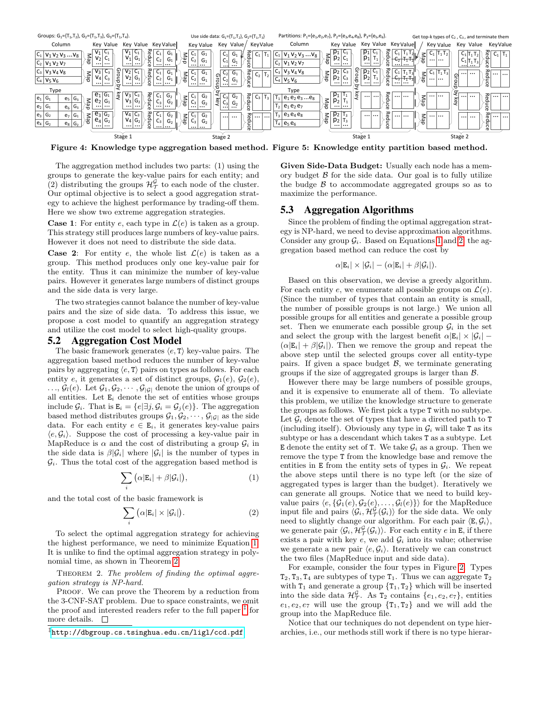

<span id="page-6-2"></span>Figure 4: Knowledge type aggregation based method. Figure 5: Knowledge entity partition based method.

The aggregation method includes two parts: (1) using the groups to generate the key-value pairs for each entity; and (2) distributing the groups  $\mathcal{H}_{\mathcal{T}}^{\mathcal{G}}$  to each node of the cluster. Our optimal objective is to select a good aggregation strategy to achieve the highest performance by trading-off them. Here we show two extreme aggregation strategies.

**Case 1:** For entity e, each type in  $\mathcal{L}(e)$  is taken as a group. This strategy still produces large numbers of key-value pairs. However it does not need to distribute the side data.

**Case 2:** For entity e, the whole list  $\mathcal{L}(e)$  is taken as a group. This method produces only one key-value pair for the entity. Thus it can minimize the number of key-value pairs. However it generates large numbers of distinct groups and the side data is very large.

The two strategies cannot balance the number of key-value pairs and the size of side data. To address this issue, we propose a cost model to quantify an aggregation strategy and utilize the cost model to select high-quality groups.

# <span id="page-6-0"></span>5.2 Aggregation Cost Model

The basic framework generates  $\langle e, \mathbf{T} \rangle$  key-value pairs. The aggregation based method reduces the number of key-value pairs by aggregating  $\langle e, T \rangle$  pairs on types as follows. For each entity e, it generates a set of distinct groups,  $\mathcal{G}_1(e)$ ,  $\mathcal{G}_2(e)$ ,  $\ldots, \mathcal{G}_l(e)$ . Let  $\mathcal{G}_1, \mathcal{G}_2, \cdots, \mathcal{G}_{|\mathcal{G}|}$  denote the union of groups of all entities. Let  $E_i$  denote the set of entities whose groups include  $\mathcal{G}_i$ . That is  $\mathbf{E}_i = \{e | \exists j, \mathcal{G}_i = \mathcal{G}_j(e)\}$ . The aggregation based method distributes groups  $\mathcal{G}_1, \mathcal{G}_2, \cdots, \mathcal{G}_{|\mathcal{G}|}$  as the side data. For each entity  $e \in \mathbf{E}_i$ , it generates key-value pairs  $\langle e, \mathcal{G}_i \rangle$ . Suppose the cost of processing a key-value pair in MapReduce is  $\alpha$  and the cost of distributing a group  $\mathcal{G}_i$  in the side data is  $\beta|\mathcal{G}_i|$  where  $|\mathcal{G}_i|$  is the number of types in  $\mathcal{G}_i$ . Thus the total cost of the aggregation based method is

<span id="page-6-3"></span>
$$
\sum_{i} (\alpha |\mathbf{E}_{i}| + \beta |\mathcal{G}_{i}|), \qquad (1)
$$

and the total cost of the basic framework is

<span id="page-6-6"></span>
$$
\sum_{i} (\alpha | \mathbf{E}_i | \times | \mathcal{G}_i|). \tag{2}
$$

To select the optimal aggregation strategy for achieving the highest performance, we need to minimize Equation [1.](#page-6-3) It is unlike to find the optimal aggregation strategy in polynomial time, as shown in Theorem [2.](#page-6-4)

<span id="page-6-4"></span>THEOREM 2. The problem of finding the optimal aggregation strategy is NP-hard.

PROOF. We can prove the Theorem by a reduction from the 3-CNF-SAT problem. Due to space constraints, we omit the proof and interested readers refer to the full paper  $\frac{1}{r}$  for more details.  $\square$ 

<span id="page-6-7"></span>Given Side-Data Budget: Usually each node has a memory budget  $\beta$  for the side data. Our goal is to fully utilize the budge  $\beta$  to accommodate aggregated groups so as to maximize the performance.

# <span id="page-6-1"></span>5.3 Aggregation Algorithms

Since the problem of finding the optimal aggregation strategy is NP-hard, we need to devise approximation algorithms. Consider any group  $\mathcal{G}_i$ . Based on Equations [1](#page-6-3) and [2,](#page-6-6) the aggregation based method can reduce the cost by

$$
\alpha|\mathbf{E}_i| \times |\mathcal{G}_i| - (\alpha|\mathbf{E}_i| + \beta|\mathcal{G}_i|).
$$

Based on this observation, we devise a greedy algorithm. For each entity e, we enumerate all possible groups on  $\mathcal{L}(e)$ . (Since the number of types that contain an entity is small, the number of possible groups is not large.) We union all possible groups for all entities and generate a possible group set. Then we enumerate each possible group  $\mathcal{G}_i$  in the set and select the group with the largest benefit  $\alpha |E_i| \times |\mathcal{G}_i|$  –  $(\alpha|\mathbf{E}_i| + \beta|\mathcal{G}_i|)$ . Then we remove the group and repeat the above step until the selected groups cover all entity-type pairs. If given a space budget  $\beta$ , we terminate generating groups if the size of aggregated groups is larger than B.

However there may be large numbers of possible groups, and it is expensive to enumerate all of them. To alleviate this problem, we utilize the knowledge structure to generate the groups as follows. We first pick a type T with no subtype. Let  $\mathcal{G}_i$  denote the set of types that have a directed path to T (including itself). Obviously any type in  $\mathcal{G}_i$  will take T as its subtype or has a descendant which takes T as a subtype. Let E denote the entity set of T. We take  $\mathcal{G}_i$  as a group. Then we remove the type T from the knowledge base and remove the entities in  $E$  from the entity sets of types in  $\mathcal{G}_i$ . We repeat the above steps until there is no type left (or the size of aggregated types is larger than the budget). Iteratively we can generate all groups. Notice that we need to build keyvalue pairs  $\langle e, {\mathcal{G}_1}(e), {\mathcal{G}_2}(e), \ldots, {\mathcal{G}_l}(e) \rangle$  for the MapReduce input file and pairs  $\langle \mathcal{G}_i, \mathcal{H}^{\mathcal{G}}_{\mathcal{T}}(\mathcal{G}_i) \rangle$  for the side data. We only need to slightly change our algorithm. For each pair  $\langle E, \mathcal{G}_i \rangle$ , we generate pair  $\langle \mathcal{G}_i, \mathcal{H}^{\mathcal{G}}_{\mathcal{T}}(\mathcal{G}_i) \rangle$ . For each entity e in E, if there exists a pair with key e, we add  $\mathcal{G}_i$  into its value; otherwise we generate a new pair  $\langle e, \mathcal{G}_i \rangle$ . Iteratively we can construct the two files (MapReduce input and side data).

For example, consider the four types in Figure [2.](#page-4-1) Types  $T_2, T_3, T_4$  are subtypes of type  $T_1$ . Thus we can aggregate  $T_2$ with  $T_1$  and generate a group  $\{T_1, T_2\}$  which will be inserted into the side data  $\mathcal{H}_{\mathcal{T}}^{\mathcal{G}}$ . As  $T_2$  contains  $\{e_1, e_2, e_7\}$ , entities  $e_1, e_2, e_7$  will use the group  $\{T_1, T_2\}$  and we will add the group into the MapReduce file.

Notice that our techniques do not dependent on type hierarchies, i.e., our methods still work if there is no type hierar-

<span id="page-6-5"></span><sup>‡</sup> <http://dbgroup.cs.tsinghua.edu.cn/ligl/ccd.pdf>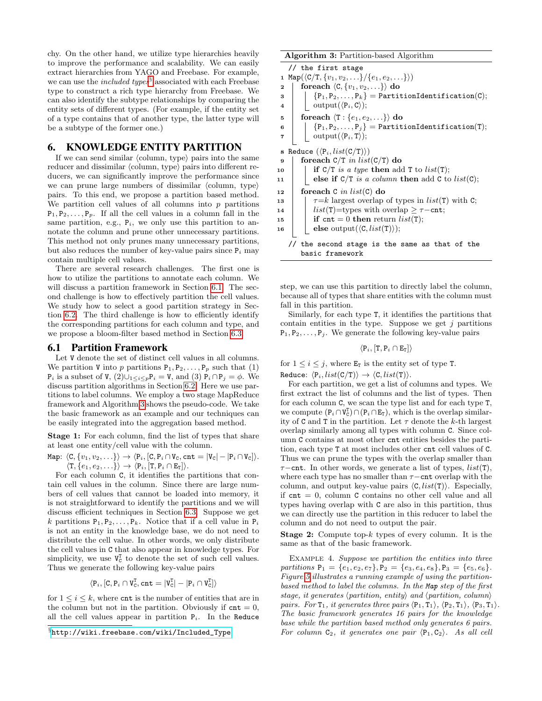chy. On the other hand, we utilize type hierarchies heavily to improve the performance and scalability. We can easily extract hierarchies from YAGO and Freebase. For example, we can use the *included types*<sup>[§](#page-7-1)</sup> associated with each Freebase type to construct a rich type hierarchy from Freebase. We can also identify the subtype relationships by comparing the entity sets of different types. (For example, if the entity set of a type contains that of another type, the latter type will be a subtype of the former one.)

# <span id="page-7-0"></span>6. KNOWLEDGE ENTITY PARTITION

If we can send similar  $\langle$  column, type $\rangle$  pairs into the same reducer and dissimilar  $\langle$  column, type $\rangle$  pairs into different reducers, we can significantly improve the performance since we can prune large numbers of dissimilar  $\langle$  column, type $\rangle$ pairs. To this end, we propose a partition based method. We partition cell values of all columns into  $p$  partitions  $P_1, P_2, \ldots, P_p$ . If all the cell values in a column fall in the same partition, e.g.,  $P_i$ , we only use this partition to annotate the column and prune other unnecessary partitions. This method not only prunes many unnecessary partitions, but also reduces the number of key-value pairs since  $P_i$  may contain multiple cell values.

There are several research challenges. The first one is how to utilize the partitions to annotate each column. We will discuss a partition framework in Section [6.1.](#page-7-2) The second challenge is how to effectively partition the cell values. We study how to select a good partition strategy in Section [6.2.](#page-8-0) The third challenge is how to efficiently identify the corresponding partitions for each column and type, and we propose a bloom-filter based method in Section [6.3.](#page-8-1)

#### <span id="page-7-2"></span>6.1 Partition Framework

Let  $V$  denote the set of distinct cell values in all columns. We partition V into p partitions  $P_1, P_2, \ldots, P_p$  such that (1)  $P_i$  is a subset of  $V$ ,  $(2)\cup_{1\leq i\leq p}P_i = V$ , and  $(3)$   $P_i \cap P_j = \phi$ . We discuss partition algorithms in Section [6.2.](#page-8-0) Here we use partitions to label columns. We employ a two stage MapReduce framework and Algorithm [3](#page-7-3) shows the pseudo-code. We take the basic framework as an example and our techniques can be easily integrated into the aggregation based method.

Stage 1: For each column, find the list of types that share at least one entity/cell value with the column.

Map:  $\langle C, \{v_1, v_2, \ldots\}\rangle \rightarrow \langle P_i, [C, P_i \cap V_C, \text{cnt} = |V_C| - |P_i \cap V_C|\rangle.$  $\langle T, \{e_1, e_2, \ldots\}\rangle \rightarrow \langle P_i, [T, P_i \cap E_T]\rangle.$ 

For each column C, it identifies the partitions that contain cell values in the column. Since there are large numbers of cell values that cannot be loaded into memory, it is not straightforward to identify the partitions and we will discuss efficient techniques in Section [6.3.](#page-8-1) Suppose we get k partitions  $P_1, P_2, \ldots, P_k$ . Notice that if a cell value in  $P_i$ is not an entity in the knowledge base, we do not need to distribute the cell value. In other words, we only distribute the cell values in C that also appear in knowledge types. For simplicity, we use  $V_c^T$  to denote the set of such cell values. Thus we generate the following key-value pairs

$$
\langle P_i, [C, P_i \cap V_C^T, \texttt{cnt} = |V_C^T| - |P_i \cap V_C^T| \rangle
$$

for  $1 \leq i \leq k$ , where cnt is the number of entities that are in the column but not in the partition. Obviously if  $\text{cnt} = 0$ , all the cell values appear in partition  $P_i$ . In the Reduce

#### Algorithm 3: Partition-based Algorithm

// the first stage 1 Map $(\langle C/T, \{v_1, v_2, \ldots\}/\{e_1, e_2, \ldots\}\rangle)$ 2 | foreach  $\langle C, \{v_1, v_2, \ldots\}\rangle$  do  $\begin{array}{ccc} 3 & | & | & {\text{P}_1, P_2, \ldots, P_k} = \text{PartitionIdentification}(C); \end{array}$ 4 output( $\langle P_i, C \rangle$ ); 5 | foreach  $\langle T : \{e_1, e_2, \ldots \}\rangle$  do 6  $\left\{\n \begin{array}{c}\n P_1, P_2, \ldots, P_j\n \end{array}\n\right\}$  = PartitionIdentification(T);  $\tau$  | output( $\langle P_i, T \rangle$ ); 8 Reduce  $(\langle P_i, list(C/T) \rangle)$ 9 foreach  $C/T$  in list( $C/T$ ) do 10 **if C**/T *is a type* then add T to *list*(T); 11 else if  $C/T$  is a column then add C to list(C); 12 foreach C in list(C) do 13  $\vert \tau=k$  largest overlap of types in *list*(T) with C; 14 list(T)=types with overlap  $\geq \tau$ -cnt; 15 if cnt = 0 then return *list*(T); 16 else output $(\langle C, list(T) \rangle);$ // the second stage is the same as that of the basic framework

<span id="page-7-3"></span>step, we can use this partition to directly label the column, because all of types that share entities with the column must fall in this partition.

Similarly, for each type T, it identifies the partitions that contain entities in the type. Suppose we get  $j$  partitions  $P_1, P_2, \ldots, P_j$ . We generate the following key-value pairs

$$
\langle P_i, [T, P_i \cap E_T] \rangle
$$

for  $1 \leq i \leq j$ , where  $E_T$  is the entity set of type T.

Reduce:  $\langle P_i, list(C/T) \rangle \rightarrow \langle C, list(T) \rangle.$ 

For each partition, we get a list of columns and types. We first extract the list of columns and the list of types. Then for each column C, we scan the type list and for each type T, we compute  $(P_i \cap V_C^T) \cap (P_i \cap E_T)$ , which is the overlap similarity of C and T in the partition. Let  $\tau$  denote the k-th largest overlap similarly among all types with column C. Since column C contains at most other cnt entities besides the partition, each type T at most includes other cnt cell values of C. Thus we can prune the types with the overlap smaller than  $\tau$ −cnt. In other words, we generate a list of types, *list*(T), where each type has no smaller than  $\tau$ −cnt overlap with the column, and output key-value pairs  $\langle C, list(T) \rangle$ . Especially, if  $\text{cnt} = 0$ , column C contains no other cell value and all types having overlap with C are also in this partition, thus we can directly use the partition in this reducer to label the column and do not need to output the pair.

Stage 2: Compute top-k types of every column. It is the same as that of the basic framework.

EXAMPLE 4. Suppose we partition the entities into three partitions  $P_1 = \{e_1, e_2, e_7\}, P_2 = \{e_3, e_4, e_8\}, P_3 = \{e_5, e_6\}.$ Figure [5](#page-6-7) illustrates a running example of using the partitionbased method to label the columns. In the Map step of the first stage, it generates  $\langle$  partition, entity $\rangle$  and  $\langle$  partition, column $\rangle$ pairs. For  $T_1$ , it generates three pairs  $\langle P_1, T_1 \rangle$ ,  $\langle P_2, T_1 \rangle$ ,  $\langle P_3, T_1 \rangle$ . The basic framework generates 16 pairs for the knowledge base while the partition based method only generates 6 pairs. For column  $C_2$ , it generates one pair  $\langle P_1, C_2 \rangle$ . As all cell

<span id="page-7-1"></span> $^{\S}\texttt{http://withi.freebase.com/wiki/Included\_Type}$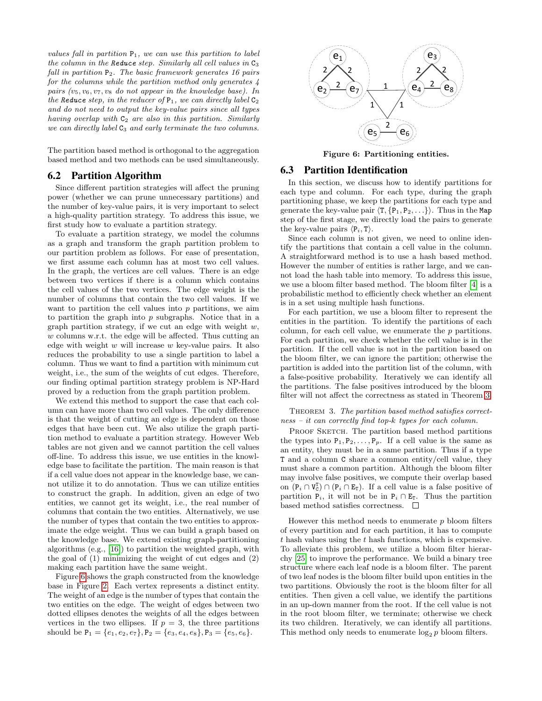values fall in partition  $P_1$ , we can use this partition to label the column in the Reduce step. Similarly all cell values in  $C_3$ fall in partition  $P_2$ . The basic framework generates 16 pairs for the columns while the partition method only generates  $\lambda$ pairs  $(v_5, v_6, v_7, v_8)$  do not appear in the knowledge base). In the Reduce step, in the reducer of  $P_1$ , we can directly label  $C_2$ and do not need to output the key-value pairs since all types having overlap with  $C_2$  are also in this partition. Similarly we can directly label  $C_3$  and early terminate the two columns.

The partition based method is orthogonal to the aggregation based method and two methods can be used simultaneously.

# <span id="page-8-0"></span>6.2 Partition Algorithm

Since different partition strategies will affect the pruning power (whether we can prune unnecessary partitions) and the number of key-value pairs, it is very important to select a high-quality partition strategy. To address this issue, we first study how to evaluate a partition strategy.

To evaluate a partition strategy, we model the columns as a graph and transform the graph partition problem to our partition problem as follows. For ease of presentation, we first assume each column has at most two cell values. In the graph, the vertices are cell values. There is an edge between two vertices if there is a column which contains the cell values of the two vertices. The edge weight is the number of columns that contain the two cell values. If we want to partition the cell values into  $p$  partitions, we aim to partition the graph into  $p$  subgraphs. Notice that in a graph partition strategy, if we cut an edge with weight  $w$ , w columns w.r.t. the edge will be affected. Thus cutting an edge with weight  $w$  will increase  $w$  key-value pairs. It also reduces the probability to use a single partition to label a column. Thus we want to find a partition with minimum cut weight, i.e., the sum of the weights of cut edges. Therefore, our finding optimal partition strategy problem is NP-Hard proved by a reduction from the graph partition problem.

We extend this method to support the case that each column can have more than two cell values. The only difference is that the weight of cutting an edge is dependent on those edges that have been cut. We also utilize the graph partition method to evaluate a partition strategy. However Web tables are not given and we cannot partition the cell values off-line. To address this issue, we use entities in the knowledge base to facilitate the partition. The main reason is that if a cell value does not appear in the knowledge base, we cannot utilize it to do annotation. Thus we can utilize entities to construct the graph. In addition, given an edge of two entities, we cannot get its weight, i.e., the real number of columns that contain the two entities. Alternatively, we use the number of types that contain the two entities to approximate the edge weight. Thus we can build a graph based on the knowledge base. We extend existing graph-partitioning algorithms (e.g., [\[16\]](#page-11-36)) to partition the weighted graph, with the goal of (1) minimizing the weight of cut edges and (2) making each partition have the same weight.

Figure [6](#page-8-2) shows the graph constructed from the knowledge base in Figure [2.](#page-4-1) Each vertex represents a distinct entity. The weight of an edge is the number of types that contain the two entities on the edge. The weight of edges between two dotted ellipses denotes the weights of all the edges between vertices in the two ellipses. If  $p = 3$ , the three partitions should be  $P_1 = \{e_1, e_2, e_7\}$ ,  $P_2 = \{e_3, e_4, e_8\}$ ,  $P_3 = \{e_5, e_6\}$ .



<span id="page-8-2"></span>Figure 6: Partitioning entities.

# <span id="page-8-1"></span>6.3 Partition Identification

In this section, we discuss how to identify partitions for each type and column. For each type, during the graph partitioning phase, we keep the partitions for each type and generate the key-value pair  $\langle T, \{P_1, P_2, ...\} \rangle$ . Thus in the Map step of the first stage, we directly load the pairs to generate the key-value pairs  $\langle P_i, T \rangle$ .

Since each column is not given, we need to online identify the partitions that contain a cell value in the column. A straightforward method is to use a hash based method. However the number of entities is rather large, and we cannot load the hash table into memory. To address this issue, we use a bloom filter based method. The bloom filter [\[4\]](#page-11-37) is a probabilistic method to efficiently check whether an element is in a set using multiple hash functions.

For each partition, we use a bloom filter to represent the entities in the partition. To identify the partitions of each column, for each cell value, we enumerate the  $p$  partitions. For each partition, we check whether the cell value is in the partition. If the cell value is not in the partition based on the bloom filter, we can ignore the partition; otherwise the partition is added into the partition list of the column, with a false-positive probability. Iteratively we can identify all the partitions. The false positives introduced by the bloom filter will not affect the correctness as stated in Theorem [3.](#page-8-3)

<span id="page-8-3"></span>THEOREM 3. The partition based method satisfies correct $ness - it can correctly find top-k types for each column.$ 

PROOF SKETCH. The partition based method partitions the types into  $P_1, P_2, \ldots, P_p$ . If a cell value is the same as an entity, they must be in a same partition. Thus if a type T and a column C share a common entity/cell value, they must share a common partition. Although the bloom filter may involve false positives, we compute their overlap based on  $(P_i \cap V_C^T) \cap (P_i \cap E_T)$ . If a cell value is a false positive of partition  $P_i$ , it will not be in  $P_i \cap E_T$ . Thus the partition based method satisfies correctness.  $\quad \Box$ 

However this method needs to enumerate  $p$  bloom filters of every partition and for each partition, it has to compute  $t$  hash values using the  $t$  hash functions, which is expensive. To alleviate this problem, we utilize a bloom filter hierarchy [\[25\]](#page-11-38) to improve the performance. We build a binary tree structure where each leaf node is a bloom filter. The parent of two leaf nodes is the bloom filter build upon entities in the two partitions. Obviously the root is the bloom filter for all entities. Then given a cell value, we identify the partitions in an up-down manner from the root. If the cell value is not in the root bloom filter, we terminate; otherwise we check its two children. Iteratively, we can identify all partitions. This method only needs to enumerate  $\log_2 p$  bloom filters.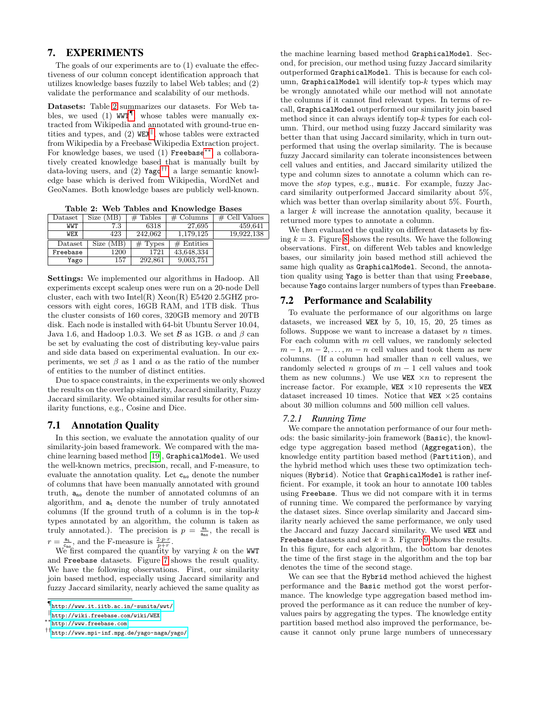# <span id="page-9-0"></span>7. EXPERIMENTS

The goals of our experiments are to (1) evaluate the effectiveness of our column concept identification approach that utilizes knowledge bases fuzzily to label Web tables; and (2) validate the performance and scalability of our methods.

Datasets: Table [2](#page-9-1) summarizes our datasets. For Web tables, we used (1)  $WWT^{\P}$ , whose tables were manually extracted from Wikipedia and annotated with ground-true entities and types, and  $(2)$  WEX<sup>||</sup>, whose tables were extracted from Wikipedia by a Freebase Wikipedia Extraction project. For knowledge bases, we used (1) Freebase[∗∗](#page-9-4), a collaboratively created knowledge based that is manually built by data-loving users, and (2) Yago[††](#page-9-5), a large semantic knowledge base which is derived from Wikipedia, WordNet and GeoNames. Both knowledge bases are publicly well-known.

<span id="page-9-1"></span>Table 2: Web Tables and Knowledge Bases

| $\text{Dataset}$ | Size(MB)     | Tables<br>#       | $#$ Columns  | $#$ Cell Values |
|------------------|--------------|-------------------|--------------|-----------------|
| WWT              | 7.3          | 6318              | 27,695       | 459,641         |
| WEX              | 423          | 242,062           | 1,179,125    | 19,922,138      |
| Dataset          | (MB)<br>Size | <b>Types</b><br># | $#$ Entities |                 |
| Freebase         | 1200         | 1721              | 43,648,334   |                 |
| Yago             | 157          | 292,861           | 9,003,751    |                 |

Settings: We implemented our algorithms in Hadoop. All experiments except scaleup ones were run on a 20-node Dell cluster, each with two  $Intel(R)$   $Xeon(R)$   $E5420$   $2.5GHz$  processors with eight cores, 16GB RAM, and 1TB disk. Thus the cluster consists of 160 cores, 320GB memory and 20TB disk. Each node is installed with 64-bit Ubuntu Server 10.04, Java 1.6, and Hadoop 1.0.3. We set  $\beta$  as 1GB.  $\alpha$  and  $\beta$  can be set by evaluating the cost of distributing key-value pairs and side data based on experimental evaluation. In our experiments, we set  $\beta$  as 1 and  $\alpha$  as the ratio of the number of entities to the number of distinct entities.

Due to space constraints, in the experiments we only showed the results on the overlap similarity, Jaccard similarity, Fuzzy Jaccard similarity. We obtained similar results for other similarity functions, e.g., Cosine and Dice.

# 7.1 Annotation Quality

In this section, we evaluate the annotation quality of our similarity-join based framework. We compared with the machine learning based method [\[19\]](#page-11-3), GraphicalModel. We used the well-known metrics, precision, recall, and F-measure, to evaluate the annotation quality. Let  $c_{no}$  denote the number of columns that have been manually annotated with ground truth,  $a_{no}$  denote the number of annotated columns of an algorithm, and  $a_t$  denote the number of truly annotated columns (If the ground truth of a column is in the top- $k$ types annotated by an algorithm, the column is taken as truly annotated.). The precision is  $p = \frac{a_t}{a_{no}}$ , the recall is  $r = \frac{a_t}{c_{n_0}}$ , and the F-measure is  $\frac{2 \cdot p \cdot r}{p+r}$ .

We first compared the quantity by varying  $k$  on the WWT and Freebase datasets. Figure [7](#page-10-0) shows the result quality. We have the following observations. First, our similarity join based method, especially using Jaccard similarity and fuzzy Jaccard similarity, nearly achieved the same quality as

<span id="page-9-3"></span> $\mathbin{\parallel}$ <http://wiki.freebase.com/wiki/WEX>

the machine learning based method GraphicalModel. Second, for precision, our method using fuzzy Jaccard similarity outperformed GraphicalModel. This is because for each column, GraphicalModel will identify top- $k$  types which may be wrongly annotated while our method will not annotate the columns if it cannot find relevant types. In terms of recall, GraphicalModel outperformed our similarity join based method since it can always identify top-k types for each column. Third, our method using fuzzy Jaccard similarity was better than that using Jaccard similarity, which in turn outperformed that using the overlap similarity. The is because fuzzy Jaccard similarity can tolerate inconsistences between cell values and entities, and Jaccard similarity utilized the type and column sizes to annotate a column which can remove the stop types, e.g., music. For example, fuzzy Jaccard similarity outperformed Jaccard similarity about 5%, which was better than overlap similarity about 5%. Fourth, a larger k will increase the annotation quality, because it returned more types to annotate a column.

We then evaluated the quality on different datasets by fixing  $k = 3$ . Figure [8](#page-10-1) shows the results. We have the following observations. First, on different Web tables and knowledge bases, our similarity join based method still achieved the same high quality as GraphicalModel. Second, the annotation quality using Yago is better than that using Freebase, because Yago contains larger numbers of types than Freebase.

# 7.2 Performance and Scalability

To evaluate the performance of our algorithms on large datasets, we increased WEX by 5, 10, 15, 20, 25 times as follows. Suppose we want to increase a dataset by  $n$  times. For each column with  $m$  cell values, we randomly selected  $m-1, m-2, \ldots, m-n$  cell values and took them as new columns. (If a column had smaller than  $n$  cell values, we randomly selected n groups of  $m-1$  cell values and took them as new columns.) We use  $WEX \times n$  to represent the increase factor. For example,  $WEX \times 10$  represents the WEX dataset increased 10 times. Notice that  $WEX \times 25$  contains about 30 million columns and 500 million cell values.

#### *7.2.1 Running Time*

We compare the annotation performance of our four methods: the basic similarity-join framework (Basic), the knowledge type aggregation based method (Aggregation), the knowledge entity partition based method (Partition), and the hybrid method which uses these two optimization techniques (Hybrid). Notice that GraphicalModel is rather inefficient. For example, it took an hour to annotate 100 tables using Freebase. Thus we did not compare with it in terms of running time. We compared the performance by varying the dataset sizes. Since overlap similarity and Jaccard similarity nearly achieved the same performance, we only used the Jaccard and fuzzy Jaccard similarity. We used WEX and Freebase datasets and set  $k = 3$ . Figure [9](#page-10-2) shows the results. In this figure, for each algorithm, the bottom bar denotes the time of the first stage in the algorithm and the top bar denotes the time of the second stage.

We can see that the Hybrid method achieved the highest performance and the Basic method got the worst performance. The knowledge type aggregation based method improved the performance as it can reduce the number of keyvalues pairs by aggregating the types. The knowledge entity partition based method also improved the performance, because it cannot only prune large numbers of unnecessary

<span id="page-9-2"></span><sup>¶</sup> <http://www.it.iitb.ac.in/~sunita/wwt/>

<span id="page-9-4"></span><sup>∗∗</sup><http://www.freebase.com>

<span id="page-9-5"></span><sup>††</sup><http://www.mpi-inf.mpg.de/yago-naga/yago/>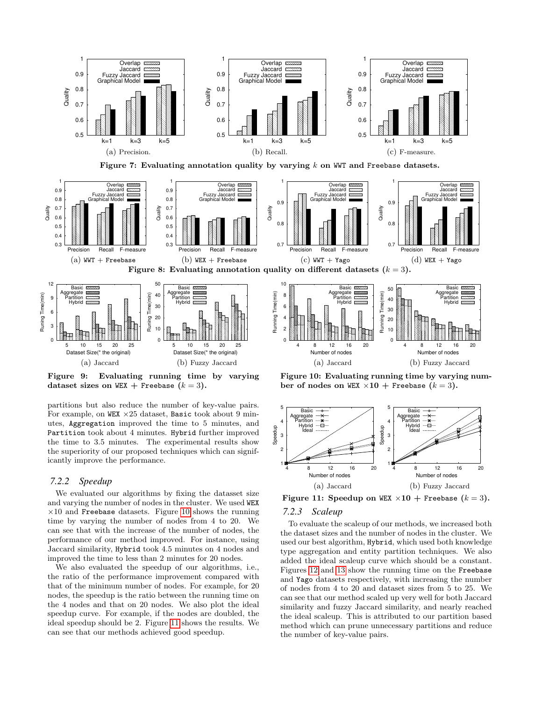

<span id="page-10-0"></span>

<span id="page-10-2"></span>Figure 9: Evaluating running time by varying dataset sizes on WEX + Freebase  $(k = 3)$ .

partitions but also reduce the number of key-value pairs. For example, on WEX  $\times 25$  dataset, Basic took about 9 minutes, Aggregation improved the time to 5 minutes, and Partition took about 4 minutes. Hybrid further improved the time to 3.5 minutes. The experimental results show the superiority of our proposed techniques which can significantly improve the performance.

## *7.2.2 Speedup*

We evaluated our algorithms by fixing the datasset size and varying the number of nodes in the cluster. We used WEX  $\times$ 10 and Freebase datasets. Figure [10](#page-10-3) shows the running time by varying the number of nodes from 4 to 20. We can see that with the increase of the number of nodes, the performance of our method improved. For instance, using Jaccard similarity, Hybrid took 4.5 minutes on 4 nodes and improved the time to less than 2 minutes for 20 nodes.

We also evaluated the speedup of our algorithms, i.e., the ratio of the performance improvement compared with that of the minimum number of nodes. For example, for 20 nodes, the speedup is the ratio between the running time on the 4 nodes and that on 20 nodes. We also plot the ideal speedup curve. For example, if the nodes are doubled, the ideal speedup should be 2. Figure [11](#page-10-4) shows the results. We can see that our methods achieved good speedup.

<span id="page-10-3"></span><span id="page-10-1"></span>Figure 10: Evaluating running time by varying number of nodes on WEX  $\times 10$  + Freebase ( $k = 3$ ).



<span id="page-10-4"></span>Figure 11: Speedup on WEX  $\times$ 10 + Freebase ( $k = 3$ ).

## *7.2.3 Scaleup*

To evaluate the scaleup of our methods, we increased both the dataset sizes and the number of nodes in the cluster. We used our best algorithm, Hybrid, which used both knowledge type aggregation and entity partition techniques. We also added the ideal scaleup curve which should be a constant. Figures [12](#page-11-39) and [13](#page-11-40) show the running time on the Freebase and Yago datasets respectively, with increasing the number of nodes from 4 to 20 and dataset sizes from 5 to 25. We can see that our method scaled up very well for both Jaccard similarity and fuzzy Jaccard similarity, and nearly reached the ideal scaleup. This is attributed to our partition based method which can prune unnecessary partitions and reduce the number of key-value pairs.